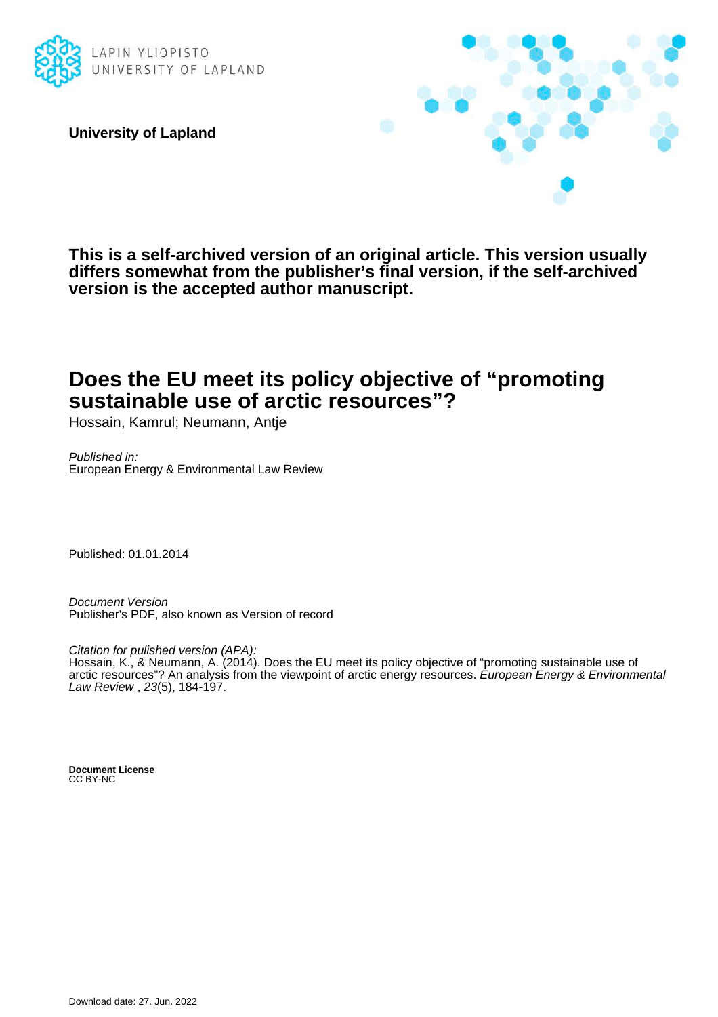

**University of Lapland**



**This is a self-archived version of an original article. This version usually differs somewhat from the publisher's final version, if the self-archived version is the accepted author manuscript.**

### **Does the EU meet its policy objective of "promoting sustainable use of arctic resources"?**

Hossain, Kamrul; Neumann, Antje

Published in: European Energy & Environmental Law Review

Published: 01.01.2014

Document Version Publisher's PDF, also known as Version of record

Citation for pulished version (APA):

Hossain, K., & Neumann, A. (2014). Does the EU meet its policy objective of "promoting sustainable use of arctic resources"? An analysis from the viewpoint of arctic energy resources. European Energy & Environmental Law Review , 23(5), 184-197.

**Document License** CC BY-NC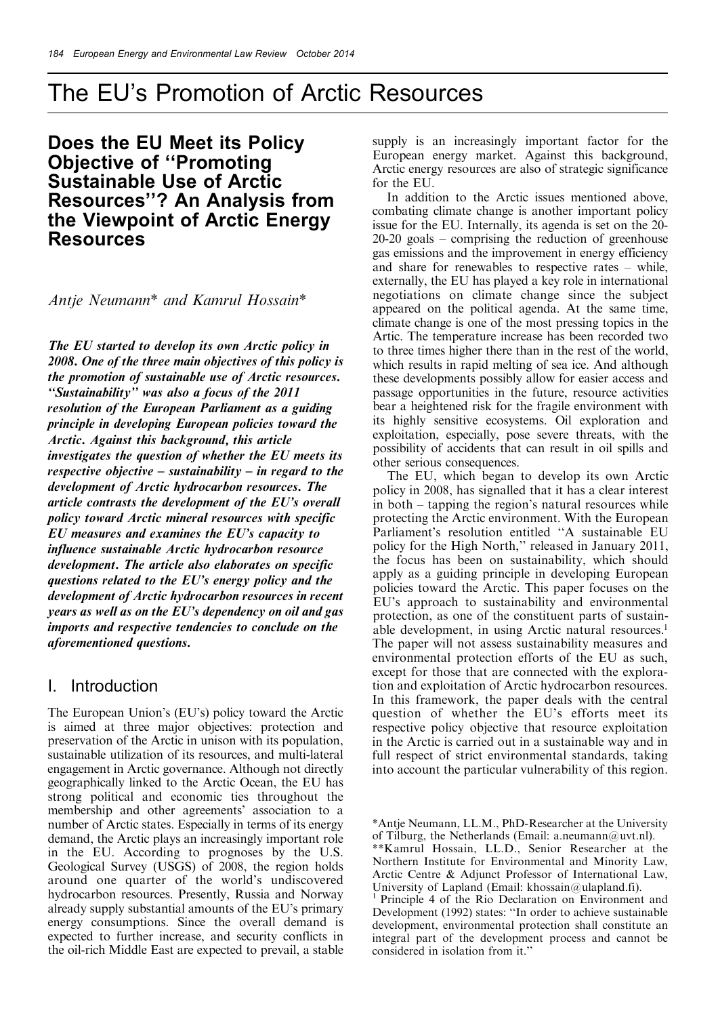### Does the EU Meet its Policy **Objective of "Promoting** Sustainable Use of Arctic Resources''? An Analysis from the Viewpoint of Arctic Energy Resources

Antje Neumann\* and Kamrul Hossain\*

The EU started to develop its own Arctic policy in 2008. One of the three main objectives of this policy is the promotion of sustainable use of Arctic resources. ``Sustainability'' was also a focus of the 2011 resolution of the European Parliament as a guiding principle in developing European policies toward the Arctic. Against this background, this article investigates the question of whether the EU meets its respective objective  $-\text{sustainability} - \text{in regard to the}$ development of Arctic hydrocarbon resources. The article contrasts the development of the EU's overall policy toward Arctic mineral resources with specific EU measures and examines the EU's capacity to influence sustainable Arctic hydrocarbon resource development. The article also elaborates on specific questions related to the EU's energy policy and the development of Arctic hydrocarbon resources in recent years as well as on the EU's dependency on oil and gas imports and respective tendencies to conclude on the aforementioned questions.

#### I. Introduction

The European Union's (EU's) policy toward the Arctic is aimed at three major objectives: protection and preservation of the Arctic in unison with its population, sustainable utilization of its resources, and multi-lateral engagement in Arctic governance. Although not directly geographically linked to the Arctic Ocean, the EU has strong political and economic ties throughout the membership and other agreements' association to a number of Arctic states. Especially in terms of its energy demand, the Arctic plays an increasingly important role in the EU. According to prognoses by the U.S. Geological Survey (USGS) of 2008, the region holds around one quarter of the world's undiscovered hydrocarbon resources. Presently, Russia and Norway already supply substantial amounts of the EU's primary energy consumptions. Since the overall demand is expected to further increase, and security conflicts in the oil-rich Middle East are expected to prevail, a stable

supply is an increasingly important factor for the European energy market. Against this background, Arctic energy resources are also of strategic significance for the EU.

In addition to the Arctic issues mentioned above, combating climate change is another important policy issue for the EU. Internally, its agenda is set on the 20-  $20-20$  goals  $-$  comprising the reduction of greenhouse gas emissions and the improvement in energy efficiency and share for renewables to respective rates  $-\theta$  while, externally, the EU has played a key role in international negotiations on climate change since the subject appeared on the political agenda. At the same time, climate change is one of the most pressing topics in the Artic. The temperature increase has been recorded two to three times higher there than in the rest of the world, which results in rapid melting of sea ice. And although these developments possibly allow for easier access and passage opportunities in the future, resource activities bear a heightened risk for the fragile environment with its highly sensitive ecosystems. Oil exploration and exploitation, especially, pose severe threats, with the possibility of accidents that can result in oil spills and other serious consequences.

The EU, which began to develop its own Arctic policy in 2008, has signalled that it has a clear interest in both – tapping the region's natural resources while protecting the Arctic environment. With the European Parliament's resolution entitled "A sustainable EU policy for the High North," released in January 2011, the focus has been on sustainability, which should apply as a guiding principle in developing European policies toward the Arctic. This paper focuses on the EU's approach to sustainability and environmental protection, as one of the constituent parts of sustainable development, in using Arctic natural resources.<sup>1</sup> The paper will not assess sustainability measures and environmental protection efforts of the EU as such, except for those that are connected with the exploration and exploitation of Arctic hydrocarbon resources. In this framework, the paper deals with the central question of whether the EU's efforts meet its respective policy objective that resource exploitation in the Arctic is carried out in a sustainable way and in full respect of strict environmental standards, taking into account the particular vulnerability of this region.

<sup>\*</sup>Antje Neumann, LL.M., PhD-Researcher at the University of Tilburg, the Netherlands (Email: a.neumann@uvt.nl).

<sup>\*\*</sup>Kamrul Hossain, LL.D., Senior Researcher at the Northern Institute for Environmental and Minority Law, Arctic Centre & Adjunct Professor of International Law, University of Lapland (Email: khossain@ulapland.fi).<br><sup>1</sup> Principle 4 of the Rio Declaration on Environment and

Development (1992) states: "In order to achieve sustainable development, environmental protection shall constitute an integral part of the development process and cannot be considered in isolation from it.''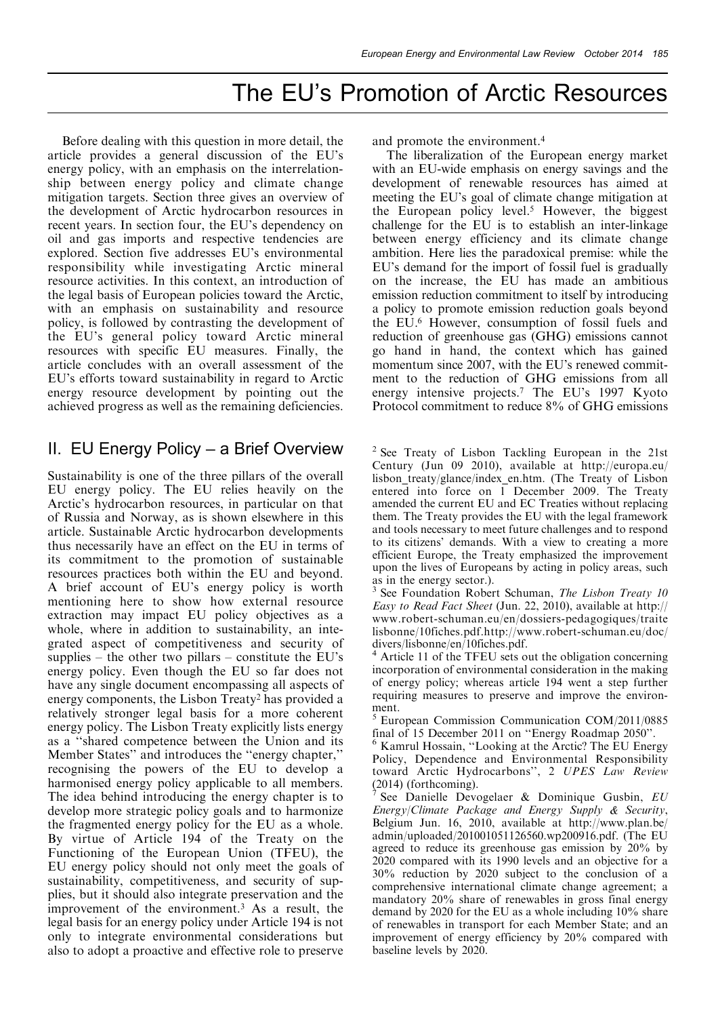Before dealing with this question in more detail, the article provides a general discussion of the EU's energy policy, with an emphasis on the interrelationship between energy policy and climate change mitigation targets. Section three gives an overview of the development of Arctic hydrocarbon resources in recent years. In section four, the EU's dependency on oil and gas imports and respective tendencies are explored. Section five addresses EU's environmental responsibility while investigating Arctic mineral resource activities. In this context, an introduction of the legal basis of European policies toward the Arctic, with an emphasis on sustainability and resource policy, is followed by contrasting the development of the EU's general policy toward Arctic mineral resources with specific EU measures. Finally, the article concludes with an overall assessment of the EU's efforts toward sustainability in regard to Arctic energy resource development by pointing out the achieved progress as well as the remaining deficiencies.

### II. EU Energy Policy  $-$  a Brief Overview

Sustainability is one of the three pillars of the overall EU energy policy. The EU relies heavily on the Arctic's hydrocarbon resources, in particular on that of Russia and Norway, as is shown elsewhere in this article. Sustainable Arctic hydrocarbon developments thus necessarily have an effect on the EU in terms of its commitment to the promotion of sustainable resources practices both within the EU and beyond. A brief account of EU's energy policy is worth mentioning here to show how external resource extraction may impact EU policy objectives as a whole, where in addition to sustainability, an integrated aspect of competitiveness and security of supplies  $-$  the other two pillars  $-$  constitute the EU's energy policy. Even though the EU so far does not have any single document encompassing all aspects of energy components, the Lisbon Treaty2 has provided a relatively stronger legal basis for a more coherent energy policy. The Lisbon Treaty explicitly lists energy as a "shared competence between the Union and its Member States" and introduces the "energy chapter," recognising the powers of the EU to develop a harmonised energy policy applicable to all members. The idea behind introducing the energy chapter is to develop more strategic policy goals and to harmonize the fragmented energy policy for the EU as a whole. By virtue of Article 194 of the Treaty on the Functioning of the European Union (TFEU), the EU energy policy should not only meet the goals of sustainability, competitiveness, and security of supplies, but it should also integrate preservation and the improvement of the environment.3 As a result, the legal basis for an energy policy under Article 194 is not only to integrate environmental considerations but also to adopt a proactive and effective role to preserve

and promote the environment.4

The liberalization of the European energy market with an EU-wide emphasis on energy savings and the development of renewable resources has aimed at meeting the EU's goal of climate change mitigation at the European policy level.<sup>5</sup> However, the biggest challenge for the EU is to establish an inter-linkage between energy efficiency and its climate change ambition. Here lies the paradoxical premise: while the EU's demand for the import of fossil fuel is gradually on the increase, the EU has made an ambitious emission reduction commitment to itself by introducing a policy to promote emission reduction goals beyond the EU.6 However, consumption of fossil fuels and reduction of greenhouse gas (GHG) emissions cannot go hand in hand, the context which has gained momentum since 2007, with the EU's renewed commitment to the reduction of GHG emissions from all energy intensive projects.7 The EU's 1997 Kyoto Protocol commitment to reduce 8% of GHG emissions

 $2$  See Treaty of Lisbon Tackling European in the 21st Century (Jun 09 2010), available at http://europa.eu/ lisbon\_treaty/glance/index\_en.htm. (The Treaty of Lisbon entered into force on 1 December 2009. The Treaty amended the current EU and EC Treaties without replacing them. The Treaty provides the EU with the legal framework and tools necessary to meet future challenges and to respond to its citizens' demands. With a view to creating a more efficient Europe, the Treaty emphasized the improvement upon the lives of Europeans by acting in policy areas, such

as in the energy sector.).<br> $3$  See Foundation Robert Schuman, *The Lisbon Treaty 10* Easy to Read Fact Sheet (Jun. 22, 2010), available at http:// www.robert-schuman.eu/en/dossiers-pedagogiques/traite lisbonne/10fiches.pdf.http://www.robert-schuman.eu/doc/ divers/lisbonne/en/10fiches.pdf.<br><sup>4</sup> Article 11 of the TFEU sets out the obligation concerning

incorporation of environmental consideration in the making of energy policy; whereas article 194 went a step further requiring measures to preserve and improve the environment.

 $5$  European Commission Communication COM/2011/0885 final of 15 December 2011 on "Energy Roadmap 2050".

 $<sup>6</sup>$  Kamrul Hossain, "Looking at the Arctic? The EU Energy</sup> Policy, Dependence and Environmental Responsibility toward Arctic Hydrocarbons'', 2 UPES Law Review

(2014) (forthcoming).<br><sup>7</sup> See Danielle Devogelaer & Dominique Gusbin,  $EU$ Energy/Climate Package and Energy Supply & Security, Belgium Jun. 16, 2010, available at http://www.plan.be/ admin/uploaded/201001051126560.wp200916.pdf. (The EU agreed to reduce its greenhouse gas emission by 20% by 2020 compared with its 1990 levels and an objective for a 30% reduction by 2020 subject to the conclusion of a comprehensive international climate change agreement; a mandatory 20% share of renewables in gross final energy demand by 2020 for the EU as a whole including 10% share of renewables in transport for each Member State; and an improvement of energy efficiency by 20% compared with baseline levels by 2020.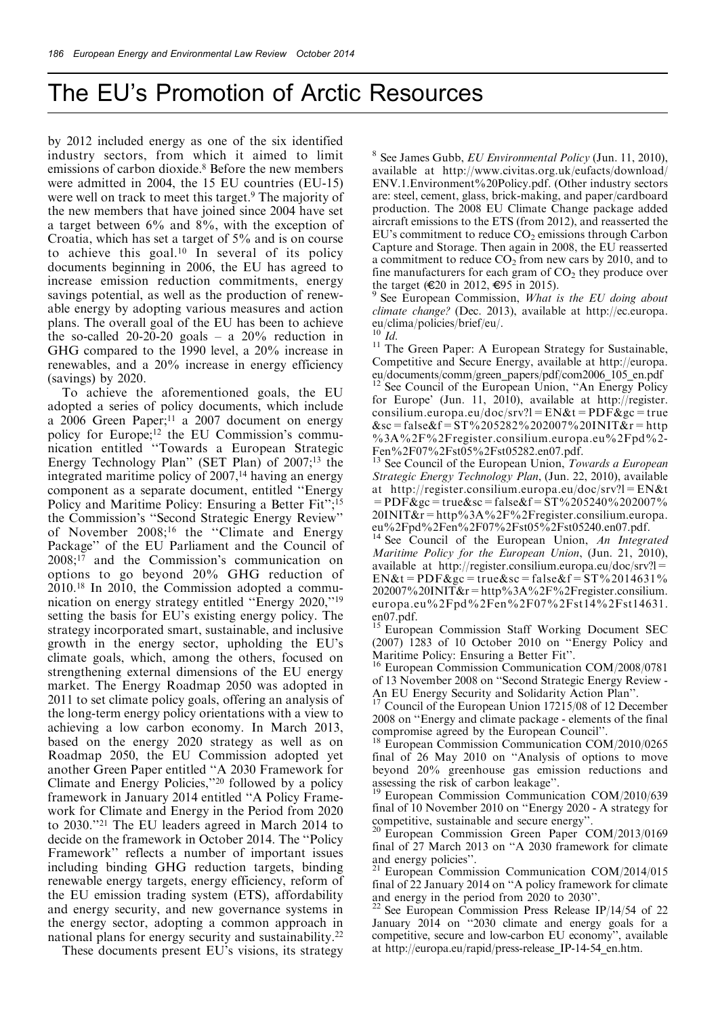by 2012 included energy as one of the six identified industry sectors, from which it aimed to limit emissions of carbon dioxide.<sup>8</sup> Before the new members were admitted in 2004, the 15 EU countries (EU-15) were well on track to meet this target.<sup>9</sup> The majority of the new members that have joined since 2004 have set a target between  $6\%$  and  $8\%$ , with the exception of Croatia, which has set a target of 5% and is on course to achieve this goal.10 In several of its policy documents beginning in 2006, the EU has agreed to increase emission reduction commitments, energy savings potential, as well as the production of renewable energy by adopting various measures and action plans. The overall goal of the EU has been to achieve the so-called 20-20-20 goals  $- a 20\%$  reduction in GHG compared to the 1990 level, a 20% increase in renewables, and a 20% increase in energy efficiency (savings) by 2020.

To achieve the aforementioned goals, the EU adopted a series of policy documents, which include a 2006 Green Paper;<sup>11</sup> a 2007 document on energy policy for Europe;<sup>12</sup> the EU Commission's communication entitled "Towards a European Strategic Energy Technology Plan" (SET Plan) of 2007;<sup>13</sup> the integrated maritime policy of 2007,<sup>14</sup> having an energy component as a separate document, entitled ``Energy Policy and Maritime Policy: Ensuring a Better Fit";<sup>15</sup> the Commission's "Second Strategic Energy Review" of November 2008;<sup>16</sup> the "Climate and Energy Package'' of the EU Parliament and the Council of  $2008$ ;<sup>17</sup> and the Commission's communication on options to go beyond 20% GHG reduction of 2010.18 In 2010, the Commission adopted a communication on energy strategy entitled "Energy 2020,"<sup>19</sup> setting the basis for EU's existing energy policy. The strategy incorporated smart, sustainable, and inclusive growth in the energy sector, upholding the EU's climate goals, which, among the others, focused on strengthening external dimensions of the EU energy market. The Energy Roadmap 2050 was adopted in 2011 to set climate policy goals, offering an analysis of the long-term energy policy orientations with a view to achieving a low carbon economy. In March 2013, based on the energy 2020 strategy as well as on Roadmap 2050, the EU Commission adopted yet another Green Paper entitled ``A 2030 Framework for Climate and Energy Policies,''20 followed by a policy framework in January 2014 entitled "A Policy Framework for Climate and Energy in the Period from 2020 to 2030.''21 The EU leaders agreed in March 2014 to decide on the framework in October 2014. The "Policy Framework'' reflects a number of important issues including binding GHG reduction targets, binding renewable energy targets, energy efficiency, reform of the EU emission trading system (ETS), affordability and energy security, and new governance systems in the energy sector, adopting a common approach in national plans for energy security and sustainability.22

 $8$  See James Gubb, *EU Environmental Policy* (Jun. 11, 2010), available at http://www.civitas.org.uk/eufacts/download/ ENV.1.Environment%20Policy.pdf. (Other industry sectors are: steel, cement, glass, brick-making, and paper/cardboard production. The 2008 EU Climate Change package added aircraft emissions to the ETS (from 2012), and reasserted the EU's commitment to reduce  $CO<sub>2</sub>$  emissions through Carbon Capture and Storage. Then again in 2008, the EU reasserted a commitment to reduce  $CO<sub>2</sub>$  from new cars by 2010, and to fine manufacturers for each gram of  $CO_2$  they produce over the target ( $\text{\textsterling}20$  in 2012,  $\text{\textsterling}95$  in 2015).

 $\frac{9}{9}$  See European Commission, What is the EU doing about climate change? (Dec. 2013), available at http://ec.europa. eu/clima/policies/brief/eu/.<br><sup>10</sup> Id.

<sup>11</sup> The Green Paper: A European Strategy for Sustainable, Competitive and Secure Energy, available at http://europa. eu/documents/comm/green\_papers/pdf/com2006\_105\_en.pdf <sup>12</sup> See Council of the European Union, "An Energy Policy for Europe' (Jun. 11, 2010), available at http://register. consilium.europa.eu/doc/srv?l=EN&t=PDF&gc=true  $\≻ = false \& f = ST\% 205282\% 202007\% 201NIT\& r = http$ %3A%2F%2Fregister.consilium.europa.eu%2Fpd%2-<br>Fen%2F07%2Fst05%2Fst05282.en07.pdf.

 $^{13}$  See Council of the European Union, Towards a European Strategic Energy Technology Plan, (Jun. 22, 2010), available at http://register.consilium.europa.eu/doc/srv?l=EN&t  $=$  PDF & gc = true & sc = false & f = ST%205240%202007% 20INIT&r=http%3A%2F%2Fregister.consilium.europa.

eu%2Fpd%2Fen%2F07%2Fst05%2Fst05240.en07.pdf.<br><sup>14</sup> See Council of the European Union, An Integrated Maritime Policy for the European Union, (Jun. 21, 2010), available at http://register.consilium.europa.eu/doc/srv?l=  $EN&t = PDF&gc = true≻ = false&f = ST\%2014631\%$  $202007\%20\text{INIT}\&\text{r}=\text{http\%3A\%2F\%2Fregister}$ .consilium. europa.eu%2Fpd%2Fen%2F07%2Fst14%2Fst14631. en07.pdf.

<sup>15</sup> European Commission Staff Working Document SEC  $(2007)$  1283 of 10 October 2010 on "Energy Policy and Maritime Policy: Ensuring a Better Fit".

 $^{16}$  European Commission Communication COM/2008/0781 of 13 November 2008 on "Second Strategic Energy Review -

An EU Energy Security and Solidarity Action Plan".<br><sup>17</sup> Council of the European Union 17215/08 of 12 December 2008 on "Energy and climate package - elements of the final compromise agreed by the European Council".

 $18$  European Commission Communication COM/2010/0265 final of 26 May 2010 on "Analysis of options to move beyond 20% greenhouse gas emission reductions and

 $19$  European Commission Communication COM/2010/639 final of 10 November 2010 on "Energy 2020 - A strategy for competitive, sustainable and secure energy".<br><sup>20</sup> European Commission Green Paper COM/2013/0169

final of 27 March 2013 on "A 2030 framework for climate

and energy policies".<br><sup>21</sup> European Commission Communication COM/2014/015 final of 22 January 2014 on "A policy framework for climate

and energy in the period from 2020 to 2030".<br><sup>22</sup> See European Commission Press Release IP/14/54 of 22 January 2014 on "2030 climate and energy goals for a competitive, secure and low-carbon EU economy'', available at http://europa.eu/rapid/press-release\_IP-14-54\_en.htm.

These documents present EU's visions, its strategy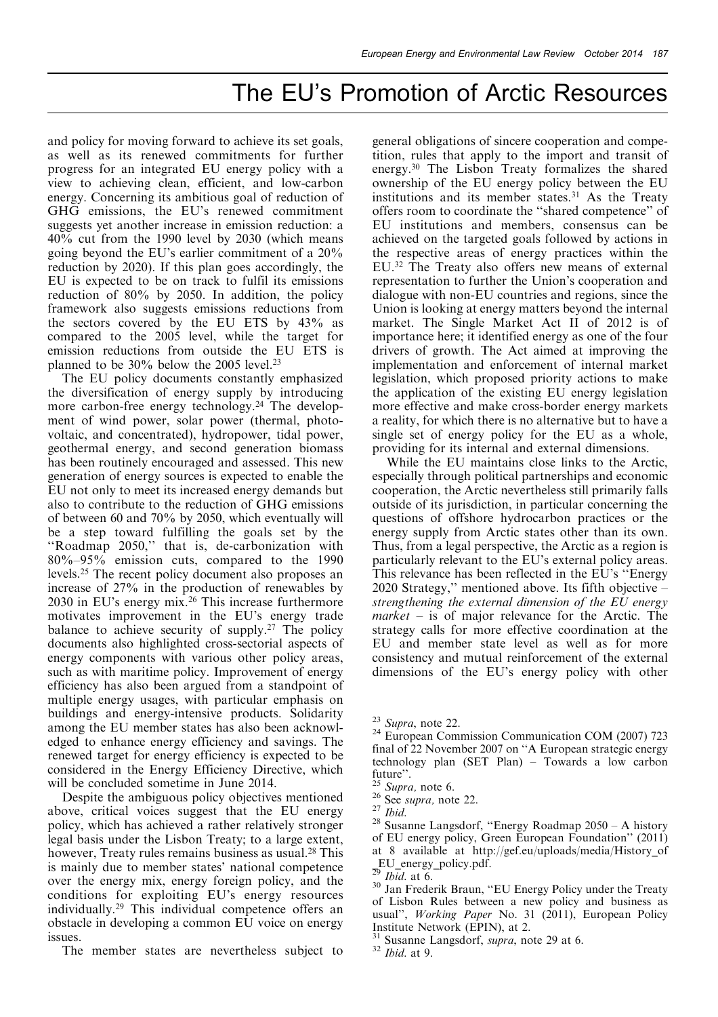and policy for moving forward to achieve its set goals, as well as its renewed commitments for further progress for an integrated EU energy policy with a view to achieving clean, efficient, and low-carbon energy. Concerning its ambitious goal of reduction of GHG emissions, the EU's renewed commitment suggests yet another increase in emission reduction: a 40% cut from the 1990 level by 2030 (which means going beyond the EU's earlier commitment of a 20% reduction by 2020). If this plan goes accordingly, the EU is expected to be on track to fulfil its emissions reduction of 80% by 2050. In addition, the policy framework also suggests emissions reductions from the sectors covered by the EU ETS by 43% as compared to the 2005 level, while the target for emission reductions from outside the EU ETS is planned to be 30% below the 2005 level.23

The EU policy documents constantly emphasized the diversification of energy supply by introducing more carbon-free energy technology.<sup>24</sup> The development of wind power, solar power (thermal, photovoltaic, and concentrated), hydropower, tidal power, geothermal energy, and second generation biomass has been routinely encouraged and assessed. This new generation of energy sources is expected to enable the EU not only to meet its increased energy demands but also to contribute to the reduction of GHG emissions of between 60 and 70% by 2050, which eventually will be a step toward fulfilling the goals set by the "Roadmap 2050," that is, de-carbonization with  $80\% - 95\%$  emission cuts, compared to the 1990 levels.25 The recent policy document also proposes an increase of 27% in the production of renewables by 2030 in EU's energy mix.26 This increase furthermore motivates improvement in the EU's energy trade balance to achieve security of supply.27 The policy documents also highlighted cross-sectorial aspects of energy components with various other policy areas, such as with maritime policy. Improvement of energy efficiency has also been argued from a standpoint of multiple energy usages, with particular emphasis on buildings and energy-intensive products. Solidarity among the EU member states has also been acknowledged to enhance energy efficiency and savings. The renewed target for energy efficiency is expected to be considered in the Energy Efficiency Directive, which will be concluded sometime in June 2014.

Despite the ambiguous policy objectives mentioned above, critical voices suggest that the EU energy policy, which has achieved a rather relatively stronger legal basis under the Lisbon Treaty; to a large extent, however, Treaty rules remains business as usual.<sup>28</sup> This is mainly due to member states' national competence over the energy mix, energy foreign policy, and the conditions for exploiting EU's energy resources individually.29 This individual competence offers an obstacle in developing a common EU voice on energy issues.

The member states are nevertheless subject to

general obligations of sincere cooperation and competition, rules that apply to the import and transit of energy.30 The Lisbon Treaty formalizes the shared ownership of the EU energy policy between the EU institutions and its member states.<sup>31</sup> As the Treaty offers room to coordinate the "shared competence" of EU institutions and members, consensus can be achieved on the targeted goals followed by actions in the respective areas of energy practices within the EU.32 The Treaty also offers new means of external representation to further the Union's cooperation and dialogue with non-EU countries and regions, since the Union is looking at energy matters beyond the internal market. The Single Market Act II of 2012 is of importance here; it identified energy as one of the four drivers of growth. The Act aimed at improving the implementation and enforcement of internal market legislation, which proposed priority actions to make the application of the existing EU energy legislation more effective and make cross-border energy markets a reality, for which there is no alternative but to have a single set of energy policy for the EU as a whole, providing for its internal and external dimensions.

While the EU maintains close links to the Arctic, especially through political partnerships and economic cooperation, the Arctic nevertheless still primarily falls outside of its jurisdiction, in particular concerning the questions of offshore hydrocarbon practices or the energy supply from Arctic states other than its own. Thus, from a legal perspective, the Arctic as a region is particularly relevant to the EU's external policy areas. This relevance has been reflected in the EU's "Energy 2020 Strategy," mentioned above. Its fifth objective  $$ strengthening the external dimension of the EU energy  $market - is of major relevance for the Arctic. The$ strategy calls for more effective coordination at the EU and member state level as well as for more consistency and mutual reinforcement of the external dimensions of the EU's energy policy with other

 $^{23}$  Supra, note 22.<br><sup>24</sup> European Commission Communication COM (2007) 723 final of 22 November 2007 on "A European strategic energy technology plan  $(SET Plan)$  – Towards a low carbon future".<br> $^{25}$  *Supra*, note 6.

<sup>&</sup>lt;sup>26</sup> See *supra*, note 22. <sup>27</sup> *Ibid.* <sup>28</sup> Susanne Langsdorf, "Energy Roadmap 2050 – A history of EU energy policy, Green European Foundation'' (2011) at 8 available at http://gef.eu/uploads/media/History\_of EU\_energy\_policy.pdf.<br> $\frac{29}{2}$ *Ibid.* at 6.

<sup>&</sup>lt;sup>30</sup> Jan Frederik Braun, "EU Energy Policy under the Treaty of Lisbon Rules between a new policy and business as usual", Working Paper No. 31 (2011), European Policy Institute Network (EPIN), at 2.<br><sup>31</sup> Susanne Langsdorf, *supra*, note 29 at 6.<br><sup>32</sup> Ibid. at 9.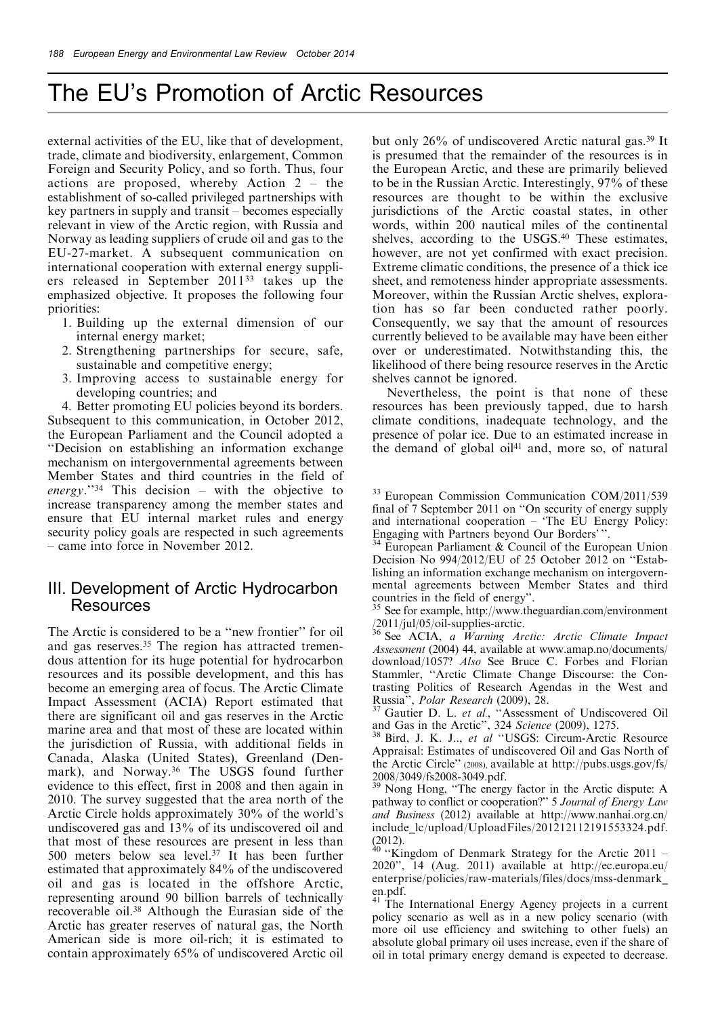external activities of the EU, like that of development, trade, climate and biodiversity, enlargement, Common Foreign and Security Policy, and so forth. Thus, four actions are proposed, whereby Action  $2 -$  the establishment of so-called privileged partnerships with key partners in supply and transit – becomes especially relevant in view of the Arctic region, with Russia and Norway as leading suppliers of crude oil and gas to the EU-27-market. A subsequent communication on international cooperation with external energy suppliers released in September 201133 takes up the emphasized objective. It proposes the following four priorities:

- 1. Building up the external dimension of our internal energy market;
- 2. Strengthening partnerships for secure, safe, sustainable and competitive energy;
- 3. Improving access to sustainable energy for developing countries; and

4. Better promoting EU policies beyond its borders. Subsequent to this communication, in October 2012, the European Parliament and the Council adopted a ``Decision on establishing an information exchange mechanism on intergovernmental agreements between Member States and third countries in the field of  $energy.^{"34}$  This decision - with the objective to increase transparency among the member states and ensure that EU internal market rules and energy security policy goals are respected in such agreements  $-$  came into force in November 2012.

#### III. Development of Arctic Hydrocarbon **Resources**

The Arctic is considered to be a "new frontier" for oil and gas reserves.35 The region has attracted tremendous attention for its huge potential for hydrocarbon resources and its possible development, and this has become an emerging area of focus. The Arctic Climate Impact Assessment (ACIA) Report estimated that there are significant oil and gas reserves in the Arctic marine area and that most of these are located within the jurisdiction of Russia, with additional fields in Canada, Alaska (United States), Greenland (Denmark), and Norway. <sup>36</sup> The USGS found further evidence to this effect, first in 2008 and then again in 2010. The survey suggested that the area north of the Arctic Circle holds approximately 30% of the world's undiscovered gas and 13% of its undiscovered oil and that most of these resources are present in less than 500 meters below sea level.37 It has been further estimated that approximately 84% of the undiscovered oil and gas is located in the offshore Arctic, representing around 90 billion barrels of technically recoverable oil.38 Although the Eurasian side of the Arctic has greater reserves of natural gas, the North American side is more oil-rich; it is estimated to contain approximately 65% of undiscovered Arctic oil

but only 26% of undiscovered Arctic natural gas.39 It is presumed that the remainder of the resources is in the European Arctic, and these are primarily believed to be in the Russian Arctic. Interestingly, 97% of these resources are thought to be within the exclusive jurisdictions of the Arctic coastal states, in other words, within 200 nautical miles of the continental shelves, according to the USGS.40 These estimates, however, are not yet confirmed with exact precision. Extreme climatic conditions, the presence of a thick ice sheet, and remoteness hinder appropriate assessments. Moreover, within the Russian Arctic shelves, exploration has so far been conducted rather poorly. Consequently, we say that the amount of resources currently believed to be available may have been either over or underestimated. Notwithstanding this, the likelihood of there being resource reserves in the Arctic shelves cannot be ignored.

Nevertheless, the point is that none of these resources has been previously tapped, due to harsh climate conditions, inadequate technology, and the presence of polar ice. Due to an estimated increase in the demand of global oil $41$  and, more so, of natural

<sup>34</sup> European Parliament & Council of the European Union Decision No  $994/2012/EU$  of 25 October 2012 on "Establishing an information exchange mechanism on intergovernmental agreements between Member States and third countries in the field of energy".<br> $\frac{35 \text{ } \text{Sog}}{25 \text{ } \text{Sog}}$  for the state of the state of the state of the state of the state of the state of the state of the state

See for example, http://www.theguardian.com/environment /2011/jul/05/oil-supplies-arctic. <sup>36</sup> See ACIA, <sup>a</sup> Warning Arctic: Arctic Climate Impact

Assessment (2004) 44, available at www.amap.no/documents/ download/1057? Also See Bruce C. Forbes and Florian Stammler, "Arctic Climate Change Discourse: the Contrasting Politics of Research Agendas in the West and Russia", *Polar Research* (2009), 28.

Russia", *Polar Research* (2009), 28.<br><sup>37</sup> Gautier D. L. *et al.*, "Assessment of Undiscovered Oil

and Gas in the Arctic'', 324 Science (2009), 1275.<br><sup>38</sup> Bird, J. K. J.., et al "USGS: Circum-Arctic Resource Appraisal: Estimates of undiscovered Oil and Gas North of the Arctic Circle'' (2008), available at http://pubs.usgs.gov/fs/ 2008/3049/fs2008-3049.pdf.

 $39$  Nong Hong, "The energy factor in the Arctic dispute: A pathway to conflict or cooperation?'' 5 Journal of Energy Law and Business (2012) available at http://www.nanhai.org.cn/ include  $lc/upload/UploadFiles/201212112191553324.pdf.$ 

(2012).  $\begin{bmatrix} 2012 \end{bmatrix}$   $\begin{bmatrix} 40 & \text{``Kingdom of Denmark Strategy for the Article 2011} \end{bmatrix}$ 2020'', 14 (Aug. 2011) available at http://ec.europa.eu/ enterprise/policies/raw-materials/files/docs/mss-denmark\_ en.pdf.

<sup>41</sup> The International Energy Agency projects in a current policy scenario as well as in a new policy scenario (with more oil use efficiency and switching to other fuels) an absolute global primary oil uses increase, even if the share of oil in total primary energy demand is expected to decrease.

<sup>&</sup>lt;sup>33</sup> European Commission Communication COM/2011/539 final of  $7$  September 2011 on "On security of energy supply and international cooperation - 'The EU Energy Policy:<br>Engaging with Partners beyond Our Borders'".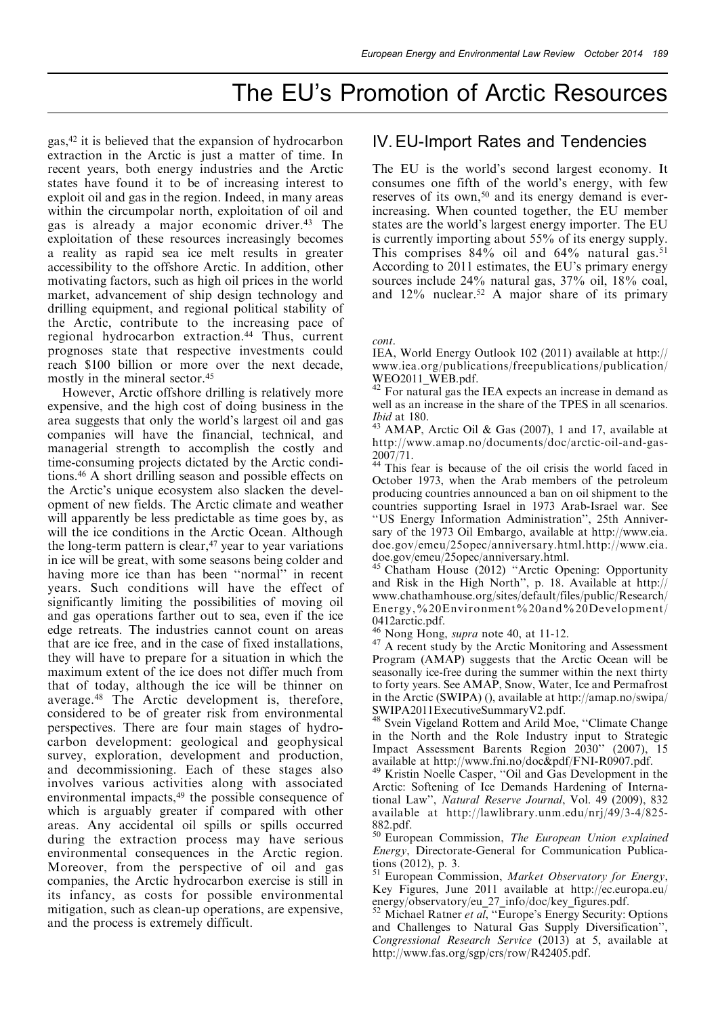gas,42 it is believed that the expansion of hydrocarbon extraction in the Arctic is just a matter of time. In recent years, both energy industries and the Arctic states have found it to be of increasing interest to exploit oil and gas in the region. Indeed, in many areas within the circumpolar north, exploitation of oil and gas is already a major economic driver.43 The exploitation of these resources increasingly becomes a reality as rapid sea ice melt results in greater accessibility to the offshore Arctic. In addition, other motivating factors, such as high oil prices in the world market, advancement of ship design technology and drilling equipment, and regional political stability of the Arctic, contribute to the increasing pace of regional hydrocarbon extraction.44 Thus, current prognoses state that respective investments could reach \$100 billion or more over the next decade, mostly in the mineral sector.45

However, Arctic offshore drilling is relatively more expensive, and the high cost of doing business in the area suggests that only the world's largest oil and gas companies will have the financial, technical, and managerial strength to accomplish the costly and time-consuming projects dictated by the Arctic conditions.46 A short drilling season and possible effects on the Arctic's unique ecosystem also slacken the development of new fields. The Arctic climate and weather will apparently be less predictable as time goes by, as will the ice conditions in the Arctic Ocean. Although the long-term pattern is clear,<sup>47</sup> year to year variations in ice will be great, with some seasons being colder and having more ice than has been "normal" in recent years. Such conditions will have the effect of significantly limiting the possibilities of moving oil and gas operations farther out to sea, even if the ice edge retreats. The industries cannot count on areas that are ice free, and in the case of fixed installations, they will have to prepare for a situation in which the maximum extent of the ice does not differ much from that of today, although the ice will be thinner on average.48 The Arctic development is, therefore, considered to be of greater risk from environmental perspectives. There are four main stages of hydrocarbon development: geological and geophysical survey, exploration, development and production, and decommissioning. Each of these stages also involves various activities along with associated environmental impacts,<sup>49</sup> the possible consequence of which is arguably greater if compared with other areas. Any accidental oil spills or spills occurred during the extraction process may have serious environmental consequences in the Arctic region. Moreover, from the perspective of oil and gas companies, the Arctic hydrocarbon exercise is still in its infancy, as costs for possible environmental mitigation, such as clean-up operations, are expensive, and the process is extremely difficult.

#### IV.EU-Import Rates and Tendencies

The EU is the world's second largest economy. It consumes one fifth of the world's energy, with few reserves of its own,<sup>50</sup> and its energy demand is everincreasing. When counted together, the EU member states are the world's largest energy importer. The EU is currently importing about 55% of its energy supply. This comprises  $84\%$  oil and  $64\%$  natural gas.<sup>51</sup> According to 2011 estimates, the EU's primary energy sources include 24% natural gas, 37% oil, 18% coal, and 12% nuclear.52 A major share of its primary

cont.

IEA, World Energy Outlook 102 (2011) available at http:// www.iea.org/publications/freepublications/publication/ WEO2011\_WEB.pdf.

<sup>42</sup> For natural gas the IEA expects an increase in demand as well as an increase in the share of the TPES in all scenarios.

*Ibid* at 180.<br><sup>43</sup> AMAP, Arctic Oil & Gas (2007), 1 and 17, available at http://www.amap.no/documents/doc/arctic-oil-and-gas-2007/71.

<sup>44</sup> This fear is because of the oil crisis the world faced in October 1973, when the Arab members of the petroleum producing countries announced a ban on oil shipment to the countries supporting Israel in 1973 Arab-Israel war. See ``US Energy Information Administration'', 25th Anniversary of the 1973 Oil Embargo, available at http://www.eia. doe.gov/emeu/25opec/anniversary.html.http://www.eia. doe.gov/emeu/25opec/anniversary.html.<br><sup>45</sup> Chatham House (2012) "Arctic Opening: Opportunity

and Risk in the High North'', p. 18. Available at http:// www.chathamhouse.org/sites/default/files/public/Research/ Energy,%20Environment%20and%20Development/

0412arctic.pdf.<br><sup>46</sup> Nong Hong, *supra* note 40, at 11-12.

 $47$  A recent study by the Arctic Monitoring and Assessment Program (AMAP) suggests that the Arctic Ocean will be seasonally ice-free during the summer within the next thirty to forty years. See AMAP, Snow, Water, Ice and Permafrost in the Arctic (SWIPA) (), available at http://amap.no/swipa/

SWIPA2011ExecutiveSummaryV2.pdf.<br><sup>48</sup> Svein Vigeland Rottem and Arild Moe, "Climate Change in the North and the Role Industry input to Strategic Impact Assessment Barents Region 2030'' (2007), 15

available at http://www.fni.no/doc&pdf/FNI-R0907.pdf.<br><sup>49</sup> Kristin Noelle Casper, "Oil and Gas Development in the Arctic: Softening of Ice Demands Hardening of International Law'', Natural Reserve Journal, Vol. 49 (2009), 832 available at http://lawlibrary.unm.edu/nrj/49/3-4/825- 882.pdf.

<sup>50</sup> European Commission, The European Union explained Energy, Directorate-General for Communication Publica-

tions (2012), p. 3.<br><sup>51</sup> European Commission, *Market Observatory for Energy*, Key Figures, June 2011 available at http://ec.europa.eu/

energy/observatory/eu\_27\_info/doc/key\_figures.pdf. <sup>52</sup> Michael Ratner *et al*, "Europe's Energy Security: Options and Challenges to Natural Gas Supply Diversification'', Congressional Research Service (2013) at 5, available at http://www.fas.org/sgp/crs/row/R42405.pdf.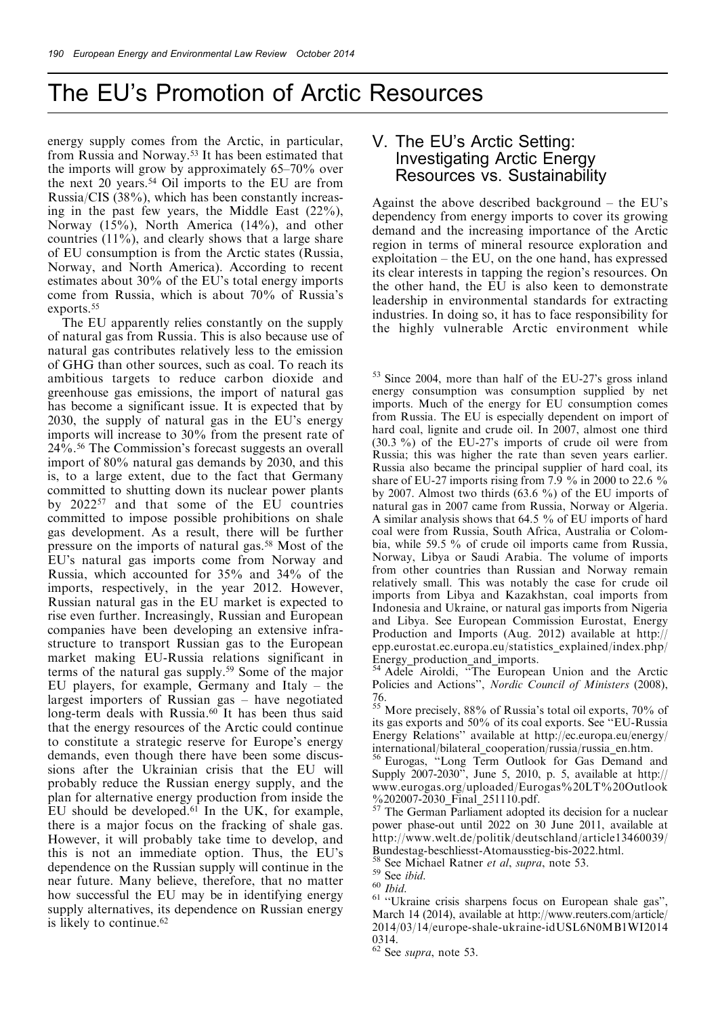energy supply comes from the Arctic, in particular, from Russia and Norway.53 It has been estimated that the imports will grow by approximately  $65-70\%$  over the next 20 years.54 Oil imports to the EU are from Russia/CIS (38%), which has been constantly increasing in the past few years, the Middle East (22%), Norway (15%), North America (14%), and other countries (11%), and clearly shows that a large share of EU consumption is from the Arctic states (Russia, Norway, and North America). According to recent estimates about 30% of the EU's total energy imports come from Russia, which is about 70% of Russia's exports.<sup>55</sup>

The EU apparently relies constantly on the supply of natural gas from Russia. This is also because use of natural gas contributes relatively less to the emission of GHG than other sources, such as coal. To reach its ambitious targets to reduce carbon dioxide and greenhouse gas emissions, the import of natural gas has become a significant issue. It is expected that by 2030, the supply of natural gas in the EU's energy imports will increase to 30% from the present rate of 24%.56 The Commission's forecast suggests an overall import of 80% natural gas demands by 2030, and this is, to a large extent, due to the fact that Germany committed to shutting down its nuclear power plants by 202257 and that some of the EU countries committed to impose possible prohibitions on shale gas development. As a result, there will be further pressure on the imports of natural gas.58 Most of the EU's natural gas imports come from Norway and Russia, which accounted for 35% and 34% of the imports, respectively, in the year 2012. However, Russian natural gas in the EU market is expected to rise even further. Increasingly, Russian and European companies have been developing an extensive infrastructure to transport Russian gas to the European market making EU-Russia relations significant in terms of the natural gas supply.59 Some of the major EU players, for example,  $Germany$  and Italy  $-$  the largest importers of Russian gas  $-$  have negotiated long-term deals with Russia.<sup>60</sup> It has been thus said that the energy resources of the Arctic could continue to constitute a strategic reserve for Europe's energy demands, even though there have been some discussions after the Ukrainian crisis that the EU will probably reduce the Russian energy supply, and the plan for alternative energy production from inside the EU should be developed.61 In the UK, for example, there is a major focus on the fracking of shale gas. However, it will probably take time to develop, and this is not an immediate option. Thus, the EU's dependence on the Russian supply will continue in the near future. Many believe, therefore, that no matter how successful the EU may be in identifying energy supply alternatives, its dependence on Russian energy is likely to continue.<sup>62</sup>

#### V. The EU's Arctic Setting: Investigating Arctic Energy Resources vs. Sustainability

Against the above described background  $-$  the EU's dependency from energy imports to cover its growing demand and the increasing importance of the Arctic region in terms of mineral resource exploration and exploitation  $-$  the EU, on the one hand, has expressed its clear interests in tapping the region's resources. On the other hand, the EU is also keen to demonstrate leadership in environmental standards for extracting industries. In doing so, it has to face responsibility for the highly vulnerable Arctic environment while

<sup>53</sup> Since 2004, more than half of the EU-27's gross inland energy consumption was consumption supplied by net imports. Much of the energy for EU consumption comes from Russia. The EU is especially dependent on import of hard coal, lignite and crude oil. In 2007, almost one third (30.3 %) of the EU-27's imports of crude oil were from Russia; this was higher the rate than seven years earlier. Russia also became the principal supplier of hard coal, its share of EU-27 imports rising from 7.9  $\%$  in 2000 to 22.6  $\%$ by 2007. Almost two thirds (63.6 %) of the EU imports of natural gas in 2007 came from Russia, Norway or Algeria. A similar analysis shows that 64.5 % of EU imports of hard coal were from Russia, South Africa, Australia or Colombia, while 59.5 % of crude oil imports came from Russia, Norway, Libya or Saudi Arabia. The volume of imports from other countries than Russian and Norway remain relatively small. This was notably the case for crude oil imports from Libya and Kazakhstan, coal imports from Indonesia and Ukraine, or natural gas imports from Nigeria and Libya. See European Commission Eurostat, Energy Production and Imports (Aug. 2012) available at http:// epp.eurostat.ec.europa.eu/statistics\_explained/index.php/

Energy\_production\_and\_imports.<br><sup>54</sup> Adele Airoldi, "The European Union and the Arctic Policies and Actions'', Nordic Council of Ministers (2008), 76.

<sup>55</sup> More precisely, 88% of Russia's total oil exports, 70% of its gas exports and 50% of its coal exports. See "EU-Russia Energy Relations'' available at http://ec.europa.eu/energy/

international/bilateral\_cooperation/russia/russia\_en.htm. <sup>56</sup> Eurogas, ``Long Term Outlook for Gas Demand and Supply 2007-2030'', June 5, 2010, p. 5, available at http:// www.eurogas.org/uploaded/Eurogas%20LT%20Outlook %202007-2030\_Final\_251110.pdf. 57<br>
<sup>57</sup> The German Parliament adopted its decision for a nuclear

power phase-out until 2022 on 30 June 2011, available at http://www.welt.de/politik/deutschland/article13460039/

<sup>&</sup>lt;sup>58</sup> See Michael Ratner *et al, supra*, note 53.<br><sup>59</sup> See *ibid.* 60 *Ibid.* 61 ``Ukraine crisis sharpens focus on European shale gas'', March 14 (2014), available at http://www.reuters.com/article/ 2014/03/14/europe-shale-ukraine-idUSL6N0MB1WI2014 0314.

 $62$  See supra, note 53.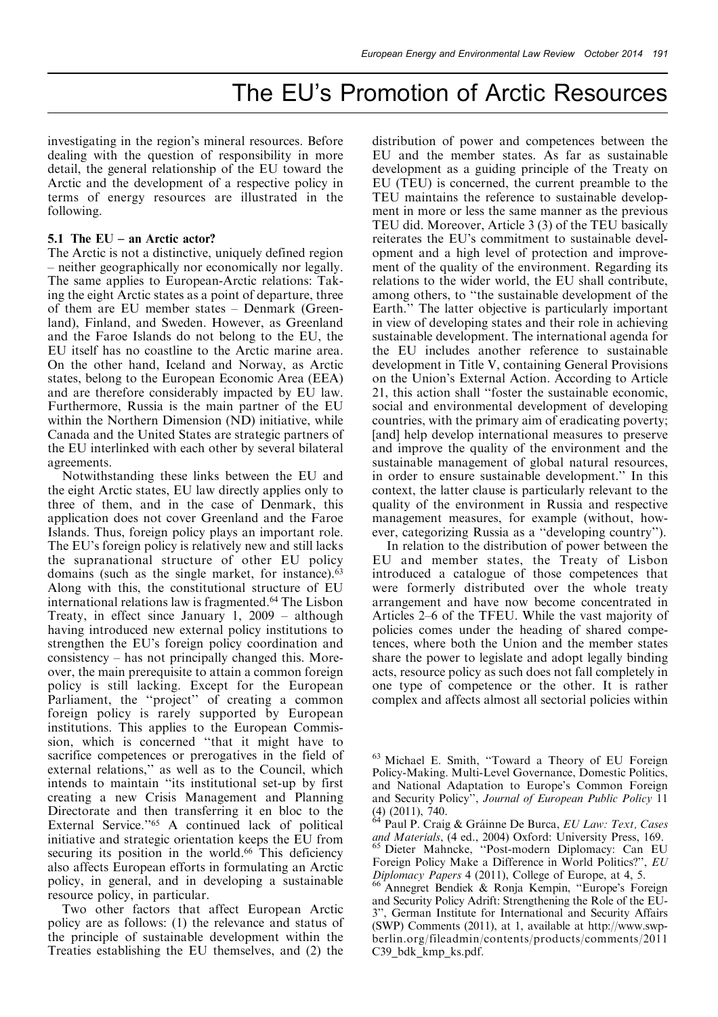investigating in the region's mineral resources. Before dealing with the question of responsibility in more detail, the general relationship of the EU toward the Arctic and the development of a respective policy in terms of energy resources are illustrated in the following.

#### 5.1 The  $EU - an$  Arctic actor?

The Arctic is not a distinctive, uniquely defined region ± neither geographically nor economically nor legally. The same applies to European-Arctic relations: Taking the eight Arctic states as a point of departure, three of them are EU member states - Denmark (Greenland), Finland, and Sweden. However, as Greenland and the Faroe Islands do not belong to the EU, the EU itself has no coastline to the Arctic marine area. On the other hand, Iceland and Norway, as Arctic states, belong to the European Economic Area (EEA) and are therefore considerably impacted by EU law. Furthermore, Russia is the main partner of the EU within the Northern Dimension (ND) initiative, while Canada and the United States are strategic partners of the EU interlinked with each other by several bilateral agreements.

Notwithstanding these links between the EU and the eight Arctic states, EU law directly applies only to three of them, and in the case of Denmark, this application does not cover Greenland and the Faroe Islands. Thus, foreign policy plays an important role. The EU's foreign policy is relatively new and still lacks the supranational structure of other EU policy domains (such as the single market, for instance).<sup>63</sup> Along with this, the constitutional structure of EU international relations law is fragmented.<sup>64</sup> The Lisbon Treaty, in effect since January 1,  $2009 -$ although having introduced new external policy institutions to strengthen the EU's foreign policy coordination and  $consistency - has not principally changed this. More$ over, the main prerequisite to attain a common foreign policy is still lacking. Except for the European Parliament, the "project" of creating a common foreign policy is rarely supported by European institutions. This applies to the European Commission, which is concerned "that it might have to sacrifice competences or prerogatives in the field of external relations," as well as to the Council, which intends to maintain "its institutional set-up by first creating a new Crisis Management and Planning Directorate and then transferring it en bloc to the External Service."<sup>65</sup> A continued lack of political initiative and strategic orientation keeps the EU from securing its position in the world.<sup>66</sup> This deficiency also affects European efforts in formulating an Arctic policy, in general, and in developing a sustainable resource policy, in particular.

Two other factors that affect European Arctic policy are as follows: (1) the relevance and status of the principle of sustainable development within the Treaties establishing the EU themselves, and (2) the

distribution of power and competences between the EU and the member states. As far as sustainable development as a guiding principle of the Treaty on EU (TEU) is concerned, the current preamble to the TEU maintains the reference to sustainable development in more or less the same manner as the previous TEU did. Moreover, Article 3 (3) of the TEU basically reiterates the EU's commitment to sustainable development and a high level of protection and improvement of the quality of the environment. Regarding its relations to the wider world, the EU shall contribute, among others, to "the sustainable development of the Earth.'' The latter objective is particularly important in view of developing states and their role in achieving sustainable development. The international agenda for the EU includes another reference to sustainable development in Title V, containing General Provisions on the Union's External Action. According to Article 21, this action shall "foster the sustainable economic, social and environmental development of developing countries, with the primary aim of eradicating poverty; [and] help develop international measures to preserve and improve the quality of the environment and the sustainable management of global natural resources, in order to ensure sustainable development.'' In this context, the latter clause is particularly relevant to the quality of the environment in Russia and respective management measures, for example (without, however, categorizing Russia as a "developing country").

In relation to the distribution of power between the EU and member states, the Treaty of Lisbon introduced a catalogue of those competences that were formerly distributed over the whole treaty arrangement and have now become concentrated in Articles 2–6 of the TFEU. While the vast majority of policies comes under the heading of shared competences, where both the Union and the member states share the power to legislate and adopt legally binding acts, resource policy as such does not fall completely in one type of competence or the other. It is rather complex and affects almost all sectorial policies within

<sup>&</sup>lt;sup>63</sup> Michael E. Smith, "Toward a Theory of EU Foreign Policy-Making. Multi-Level Governance, Domestic Politics, and National Adaptation to Europe's Common Foreign and Security Policy", Journal of European Public Policy 11

<sup>(4) (2011), 740.&</sup>lt;br> $64$  Paul P. Craig & Gráinne De Burca, *EU Law: Text, Cases and Materials*, (4 ed., 2004) Oxford: University Press, 169. <sup>65</sup> Dieter Mahncke, "Post-modern Diplomacy: Can EU Foreign Policy Make a Difference in World Politics?'', EU Diplomacy Papers <sup>4</sup> (2011), College of Europe, at 4, 5. <sup>66</sup> Annegret Bendiek & Ronja Kempin, ``Europe's Foreign

and Security Policy Adrift: Strengthening the Role of the EU-3'', German Institute for International and Security Affairs (SWP) Comments (2011), at 1, available at http://www.swpberlin.org/fileadmin/contents/products/comments/2011 C39\_bdk\_kmp\_ks.pdf.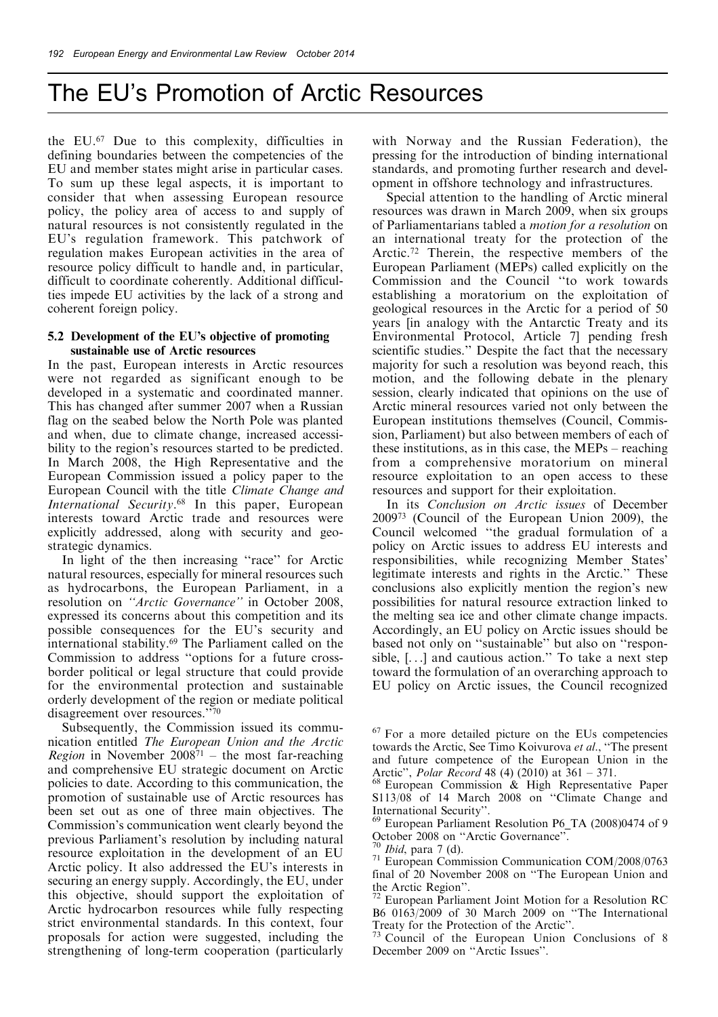the EU. <sup>67</sup> Due to this complexity, difficulties in defining boundaries between the competencies of the EU and member states might arise in particular cases. To sum up these legal aspects, it is important to consider that when assessing European resource policy, the policy area of access to and supply of natural resources is not consistently regulated in the EU's regulation framework. This patchwork of regulation makes European activities in the area of resource policy difficult to handle and, in particular, difficult to coordinate coherently. Additional difficulties impede EU activities by the lack of a strong and coherent foreign policy.

#### 5.2 Development of the EU's objective of promoting sustainable use of Arctic resources

In the past, European interests in Arctic resources were not regarded as significant enough to be developed in a systematic and coordinated manner. This has changed after summer 2007 when a Russian flag on the seabed below the North Pole was planted and when, due to climate change, increased accessibility to the region's resources started to be predicted. In March 2008, the High Representative and the European Commission issued a policy paper to the European Council with the title Climate Change and International Security. $68$  In this paper, European interests toward Arctic trade and resources were explicitly addressed, along with security and geostrategic dynamics.

In light of the then increasing "race" for Arctic natural resources, especially for mineral resources such as hydrocarbons, the European Parliament, in a resolution on "Arctic Governance" in October 2008, expressed its concerns about this competition and its possible consequences for the EU's security and international stability.69 The Parliament called on the Commission to address "options for a future crossborder political or legal structure that could provide for the environmental protection and sustainable orderly development of the region or mediate political disagreement over resources.''70

Subsequently, the Commission issued its communication entitled The European Union and the Arctic *Region* in November  $2008<sup>71</sup>$  – the most far-reaching and comprehensive EU strategic document on Arctic policies to date. According to this communication, the promotion of sustainable use of Arctic resources has been set out as one of three main objectives. The Commission's communication went clearly beyond the previous Parliament's resolution by including natural resource exploitation in the development of an EU Arctic policy. It also addressed the EU's interests in securing an energy supply. Accordingly, the EU, under this objective, should support the exploitation of Arctic hydrocarbon resources while fully respecting strict environmental standards. In this context, four proposals for action were suggested, including the strengthening of long-term cooperation (particularly

with Norway and the Russian Federation), the pressing for the introduction of binding international standards, and promoting further research and development in offshore technology and infrastructures.

Special attention to the handling of Arctic mineral resources was drawn in March 2009, when six groups of Parliamentarians tabled a motion for a resolution on an international treaty for the protection of the Arctic. <sup>72</sup> Therein, the respective members of the European Parliament (MEPs) called explicitly on the Commission and the Council ``to work towards establishing a moratorium on the exploitation of geological resources in the Arctic for a period of 50 years [in analogy with the Antarctic Treaty and its Environmental Protocol, Article 7] pending fresh scientific studies.'' Despite the fact that the necessary majority for such a resolution was beyond reach, this motion, and the following debate in the plenary session, clearly indicated that opinions on the use of Arctic mineral resources varied not only between the European institutions themselves (Council, Commission, Parliament) but also between members of each of these institutions, as in this case, the  $MEPs$  – reaching from a comprehensive moratorium on mineral resource exploitation to an open access to these resources and support for their exploitation.

In its *Conclusion on Arctic issues* of December 200973 (Council of the European Union 2009), the Council welcomed "the gradual formulation of a policy on Arctic issues to address EU interests and responsibilities, while recognizing Member States' legitimate interests and rights in the Arctic.'' These conclusions also explicitly mention the region's new possibilities for natural resource extraction linked to the melting sea ice and other climate change impacts. Accordingly, an EU policy on Arctic issues should be based not only on "sustainable" but also on "responsible, [. . .] and cautious action.'' To take a next step toward the formulation of an overarching approach to EU policy on Arctic issues, the Council recognized

 $73$  Council of the European Union Conclusions of 8 December 2009 on "Arctic Issues".

<sup>67</sup> For a more detailed picture on the EUs competencies towards the Arctic, See Timo Koivurova et al., "The present and future competence of the European Union in the Arctic", *Polar Record* 48 (4) (2010) at  $361 - 371$ .

<sup>&</sup>lt;sup>68</sup> European Commission & High Representative Paper  $S113/08$  of 14 March 2008 on "Climate Change and International Security".

<sup>&</sup>lt;sup>69</sup> European Parliament Resolution P6\_TA (2008)0474 of 9

October 2008 on "Arctic Governance".<br><sup>70</sup> *Ibid*, para 7 (d).<br><sup>71</sup> European Commission Communication COM/2008/0763 final of  $20$  November  $2008$  on "The European Union and

the Arctic Region''. <sup>72</sup> European Parliament Joint Motion for <sup>a</sup> Resolution RC B6 0163/2009 of 30 March 2009 on "The International Treaty for the Protection of the Arctic".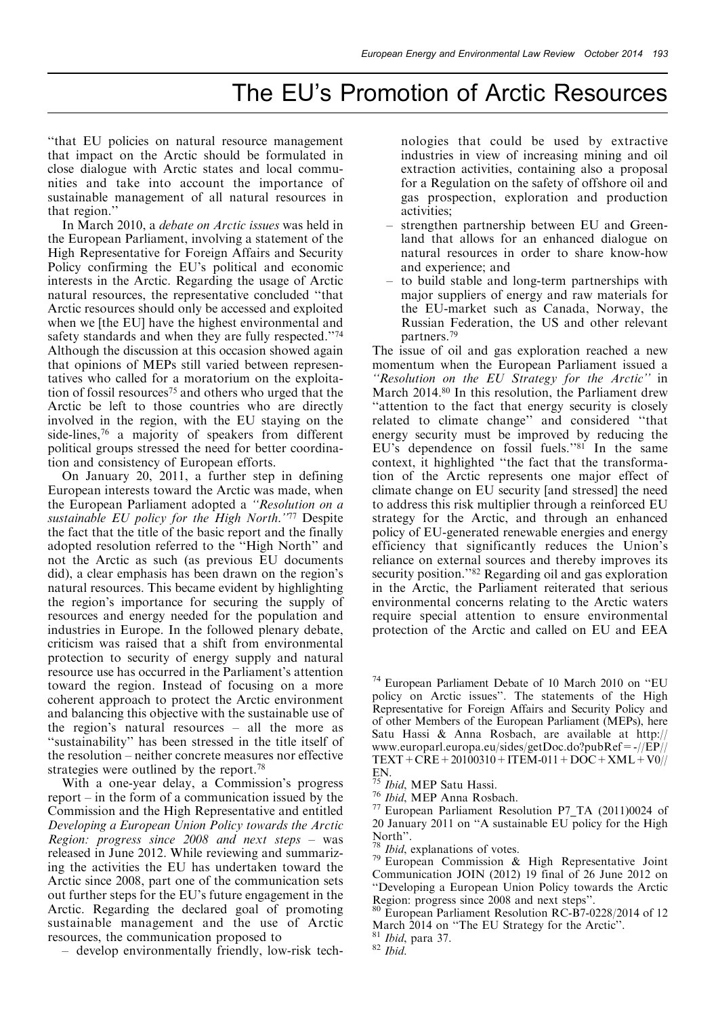``that EU policies on natural resource management that impact on the Arctic should be formulated in close dialogue with Arctic states and local communities and take into account the importance of sustainable management of all natural resources in that region.''

In March 2010, a debate on Arctic issues was held in the European Parliament, involving a statement of the High Representative for Foreign Affairs and Security Policy confirming the EU's political and economic interests in the Arctic. Regarding the usage of Arctic natural resources, the representative concluded "that Arctic resources should only be accessed and exploited when we [the EU] have the highest environmental and safety standards and when they are fully respected."74 Although the discussion at this occasion showed again that opinions of MEPs still varied between representatives who called for a moratorium on the exploitation of fossil resources<sup>75</sup> and others who urged that the Arctic be left to those countries who are directly involved in the region, with the EU staying on the side-lines,76 a majority of speakers from different political groups stressed the need for better coordination and consistency of European efforts.

On January 20, 2011, a further step in defining European interests toward the Arctic was made, when the European Parliament adopted a "Resolution on a sustainable EU policy for the High North.'77 Despite the fact that the title of the basic report and the finally adopted resolution referred to the "High North" and not the Arctic as such (as previous EU documents did), a clear emphasis has been drawn on the region's natural resources. This became evident by highlighting the region's importance for securing the supply of resources and energy needed for the population and industries in Europe. In the followed plenary debate, criticism was raised that a shift from environmental protection to security of energy supply and natural resource use has occurred in the Parliament's attention toward the region. Instead of focusing on a more coherent approach to protect the Arctic environment and balancing this objective with the sustainable use of the region's natural resources  $-\text{ all }$  the more as ``sustainability'' has been stressed in the title itself of the resolution – neither concrete measures nor effective strategies were outlined by the report.<sup>78</sup>

With a one-year delay, a Commission's progress report  $-\text{ in the form of a communication issued by the}$ Commission and the High Representative and entitled Developing a European Union Policy towards the Arctic Region: progress since  $2008$  and next steps – was released in June 2012. While reviewing and summarizing the activities the EU has undertaken toward the Arctic since 2008, part one of the communication sets out further steps for the EU's future engagement in the Arctic. Regarding the declared goal of promoting sustainable management and the use of Arctic resources, the communication proposed to

± develop environmentally friendly, low-risk tech-

nologies that could be used by extractive industries in view of increasing mining and oil extraction activities, containing also a proposal for a Regulation on the safety of offshore oil and gas prospection, exploration and production activities;

- ± strengthen partnership between EU and Greenland that allows for an enhanced dialogue on natural resources in order to share know-how and experience; and
- ± to build stable and long-term partnerships with major suppliers of energy and raw materials for the EU-market such as Canada, Norway, the Russian Federation, the US and other relevant partners.79

The issue of oil and gas exploration reached a new momentum when the European Parliament issued a ``Resolution on the EU Strategy for the Arctic'' in March 2014.<sup>80</sup> In this resolution, the Parliament drew ``attention to the fact that energy security is closely related to climate change" and considered "that energy security must be improved by reducing the EU's dependence on fossil fuels.'' <sup>81</sup> In the same context, it highlighted "the fact that the transformation of the Arctic represents one major effect of climate change on EU security [and stressed] the need to address this risk multiplier through a reinforced EU strategy for the Arctic, and through an enhanced policy of EU-generated renewable energies and energy efficiency that significantly reduces the Union's reliance on external sources and thereby improves its security position."<sup>82</sup> Regarding oil and gas exploration in the Arctic, the Parliament reiterated that serious environmental concerns relating to the Arctic waters require special attention to ensure environmental protection of the Arctic and called on EU and EEA

<sup>&</sup>lt;sup>74</sup> European Parliament Debate of 10 March 2010 on "EU policy on Arctic issues''. The statements of the High Representative for Foreign Affairs and Security Policy and of other Members of the European Parliament (MEPs), here Satu Hassi & Anna Rosbach, are available at http:// www.europarl.europa.eu/sides/getDoc.do?pubRef =  $-$ //EP//  $TEXT+CRE+20100310+ITEM-011+DOC+XML+V0/7$ 

EN.<br><sup>75</sup> Ibid, MEP Satu Hassi.<br><sup>76</sup> Ibid, MEP Anna Rosbach.<br><sup>77</sup> European Parliament Resolution P7\_TA (2011)0024 of 20 January 2011 on "A sustainable EU policy for the High North".<br><sup>78</sup> *Ibid*, explanations of votes.

<sup>&</sup>lt;sup>79</sup> European Commission & High Representative Joint Communication JOIN (2012) 19 final of 26 June 2012 on "Developing a European Union Policy towards the Arctic Region: progress since 2008 and next steps".

<sup>&</sup>lt;sup>80</sup> European Parliament Resolution RC-B7-0228/2014 of 12 March 2014 on "The EU Strategy for the Arctic".<br><sup>81</sup> Ibid, para 37. <sup>82</sup> Ibid.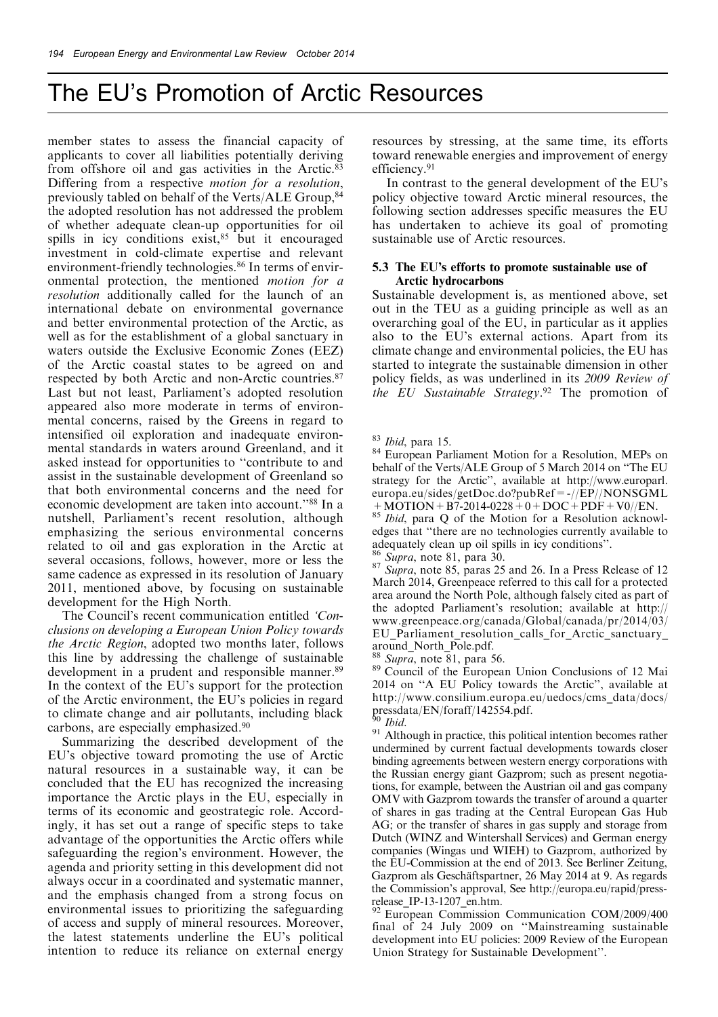member states to assess the financial capacity of applicants to cover all liabilities potentially deriving from offshore oil and gas activities in the Arctic.83 Differing from a respective motion for a resolution, previously tabled on behalf of the Verts/ALE Group,84 the adopted resolution has not addressed the problem of whether adequate clean-up opportunities for oil spills in icy conditions exist,<sup>85</sup> but it encouraged investment in cold-climate expertise and relevant environment-friendly technologies.<sup>86</sup> In terms of environmental protection, the mentioned motion for a resolution additionally called for the launch of an international debate on environmental governance and better environmental protection of the Arctic, as well as for the establishment of a global sanctuary in waters outside the Exclusive Economic Zones (EEZ) of the Arctic coastal states to be agreed on and respected by both Arctic and non-Arctic countries.87 Last but not least, Parliament's adopted resolution appeared also more moderate in terms of environmental concerns, raised by the Greens in regard to intensified oil exploration and inadequate environmental standards in waters around Greenland, and it asked instead for opportunities to "contribute to and assist in the sustainable development of Greenland so that both environmental concerns and the need for economic development are taken into account.''88 In a nutshell, Parliament's recent resolution, although emphasizing the serious environmental concerns related to oil and gas exploration in the Arctic at several occasions, follows, however, more or less the same cadence as expressed in its resolution of January 2011, mentioned above, by focusing on sustainable development for the High North.

The Council's recent communication entitled 'Conclusions on developing a European Union Policy towards the Arctic Region, adopted two months later, follows this line by addressing the challenge of sustainable development in a prudent and responsible manner.<sup>89</sup> In the context of the EU's support for the protection of the Arctic environment, the EU's policies in regard to climate change and air pollutants, including black carbons, are especially emphasized.90

Summarizing the described development of the EU's objective toward promoting the use of Arctic natural resources in a sustainable way, it can be concluded that the EU has recognized the increasing importance the Arctic plays in the EU, especially in terms of its economic and geostrategic role. Accordingly, it has set out a range of specific steps to take advantage of the opportunities the Arctic offers while safeguarding the region's environment. However, the agenda and priority setting in this development did not always occur in a coordinated and systematic manner, and the emphasis changed from a strong focus on environmental issues to prioritizing the safeguarding of access and supply of mineral resources. Moreover, the latest statements underline the EU's political intention to reduce its reliance on external energy resources by stressing, at the same time, its efforts toward renewable energies and improvement of energy efficiency.91

In contrast to the general development of the EU's policy objective toward Arctic mineral resources, the following section addresses specific measures the EU has undertaken to achieve its goal of promoting sustainable use of Arctic resources.

#### 5.3 The EU's efforts to promote sustainable use of Arctic hydrocarbons

Sustainable development is, as mentioned above, set out in the TEU as a guiding principle as well as an overarching goal of the EU, in particular as it applies also to the EU's external actions. Apart from its climate change and environmental policies, the EU has started to integrate the sustainable dimension in other policy fields, as was underlined in its 2009 Review of the EU Sustainable Strategy.<sup>92</sup> The promotion of

<sup>85</sup> Ibid, para Q of the Motion for a Resolution acknowledges that "there are no technologies currently available to adequately clean up oil spills in icy conditions".<br>
<sup>86</sup> Supra, note 81, para 30.<br>
<sup>87</sup> Supra, note 85, paras 25 and 26. In a Press Release of 12

March 2014, Greenpeace referred to this call for a protected area around the North Pole, although falsely cited as part of the adopted Parliament's resolution; available at http:// www.greenpeace.org/canada/Global/canada/pr/2014/03/ EU Parliament resolution calls for Arctic sanctuary around\_North\_Pole.pdf.<br><sup>88</sup> Supra, note 81, para 56.

89 Council of the European Union Conclusions of 12 Mai 2014 on "A EU Policy towards the Arctic", available at http://www.consilium.europa.eu/uedocs/cms\_data/docs/<br>pressdata/EN/foraff/142554.pdf.<br><sup>90</sup>*Ibid.* 

<sup>91</sup> Although in practice, this political intention becomes rather undermined by current factual developments towards closer binding agreements between western energy corporations with the Russian energy giant Gazprom; such as present negotiations, for example, between the Austrian oil and gas company OMV with Gazprom towards the transfer of around a quarter of shares in gas trading at the Central European Gas Hub AG; or the transfer of shares in gas supply and storage from Dutch (WINZ and Wintershall Services) and German energy companies (Wingas und WIEH) to Gazprom, authorized by the EU-Commission at the end of 2013. See Berliner Zeitung, Gazprom als Geschäftspartner, 26 May 2014 at 9. As regards the Commission's approval, See http://europa.eu/rapid/press-

release\_IP-13-1207\_en.htm. <br><sup>92</sup> European Commission Communication COM/2009/400 final of 24 July 2009 on "Mainstreaming sustainable development into EU policies: 2009 Review of the European Union Strategy for Sustainable Development''.

 $83$  *Ibid*, para 15.<br> $84$  European Parliament Motion for a Resolution, MEPs on behalf of the Verts/ALE Group of 5 March 2014 on "The EU strategy for the Arctic'', available at http://www.europarl. europa.eu/sides/getDoc.do?pubRef = -//EP//NONSGML<br>+ MOTION + B7-2014-0228 + 0 + DOC + PDF + V0//EN.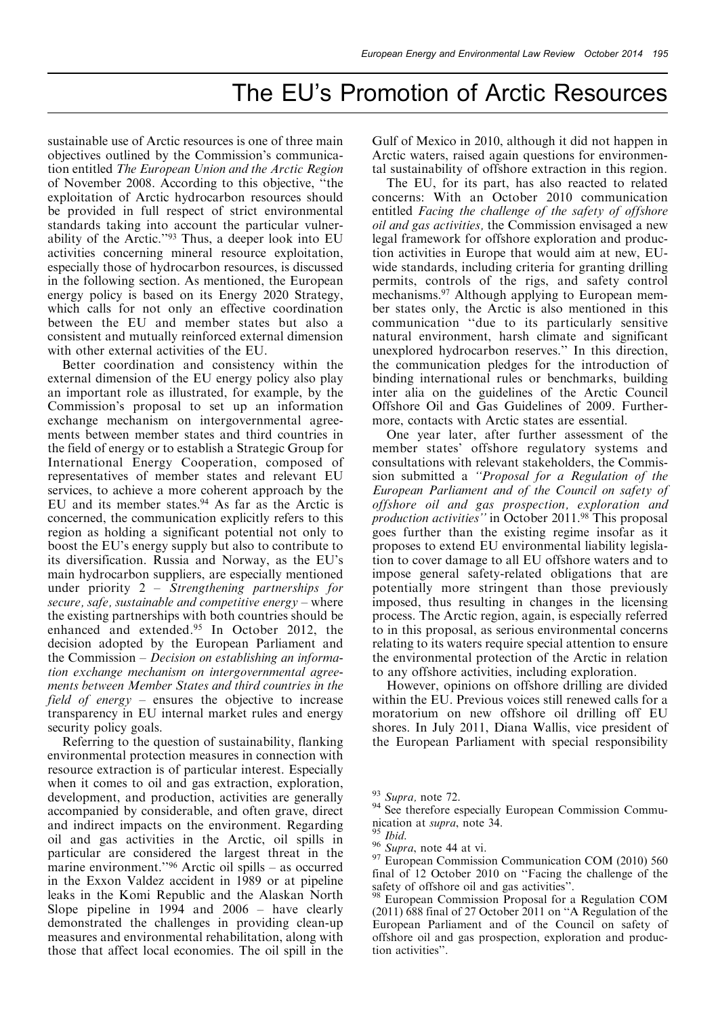sustainable use of Arctic resources is one of three main objectives outlined by the Commission's communication entitled The European Union and the Arctic Region of November 2008. According to this objective, "the exploitation of Arctic hydrocarbon resources should be provided in full respect of strict environmental standards taking into account the particular vulnerability of the Arctic.''93 Thus, a deeper look into EU activities concerning mineral resource exploitation, especially those of hydrocarbon resources, is discussed in the following section. As mentioned, the European energy policy is based on its Energy 2020 Strategy, which calls for not only an effective coordination between the EU and member states but also a consistent and mutually reinforced external dimension with other external activities of the EU.

Better coordination and consistency within the external dimension of the EU energy policy also play an important role as illustrated, for example, by the Commission's proposal to set up an information exchange mechanism on intergovernmental agreements between member states and third countries in the field of energy or to establish a Strategic Group for International Energy Cooperation, composed of representatives of member states and relevant EU services, to achieve a more coherent approach by the EU and its member states.<sup>94</sup> As far as the Arctic is concerned, the communication explicitly refers to this region as holding a significant potential not only to boost the EU's energy supply but also to contribute to its diversification. Russia and Norway, as the EU's main hydrocarbon suppliers, are especially mentioned under priority  $2 -$  Strengthening partnerships for secure, safe, sustainable and competitive energy  $-\text{where}$ the existing partnerships with both countries should be enhanced and extended.<sup>95</sup> In October 2012, the decision adopted by the European Parliament and the Commission  $-$  Decision on establishing an information exchange mechanism on intergovernmental agreements between Member States and third countries in the field of energy  $-\neq$  ensures the objective to increase transparency in EU internal market rules and energy security policy goals.

Referring to the question of sustainability, flanking environmental protection measures in connection with resource extraction is of particular interest. Especially when it comes to oil and gas extraction, exploration, development, and production, activities are generally accompanied by considerable, and often grave, direct and indirect impacts on the environment. Regarding oil and gas activities in the Arctic, oil spills in particular are considered the largest threat in the marine environment."<sup>96</sup> Arctic oil spills  $-$  as occurred in the Exxon Valdez accident in 1989 or at pipeline leaks in the Komi Republic and the Alaskan North Slope pipeline in 1994 and  $2006 -$  have clearly demonstrated the challenges in providing clean-up measures and environmental rehabilitation, along with those that affect local economies. The oil spill in the

Gulf of Mexico in 2010, although it did not happen in Arctic waters, raised again questions for environmental sustainability of offshore extraction in this region.

The EU, for its part, has also reacted to related concerns: With an October 2010 communication entitled Facing the challenge of the safety of offshore oil and gas activities, the Commission envisaged a new legal framework for offshore exploration and production activities in Europe that would aim at new, EUwide standards, including criteria for granting drilling permits, controls of the rigs, and safety control mechanisms.97 Although applying to European member states only, the Arctic is also mentioned in this communication "due to its particularly sensitive natural environment, harsh climate and significant unexplored hydrocarbon reserves.'' In this direction, the communication pledges for the introduction of binding international rules or benchmarks, building inter alia on the guidelines of the Arctic Council Offshore Oil and Gas Guidelines of 2009. Furthermore, contacts with Arctic states are essential.

One year later, after further assessment of the member states' offshore regulatory systems and consultations with relevant stakeholders, the Commission submitted a *"Proposal for a Regulation of the* European Parliament and of the Council on safety of offshore oil and gas prospection, exploration and production activities'' in October 2011.98 This proposal goes further than the existing regime insofar as it proposes to extend EU environmental liability legislation to cover damage to all EU offshore waters and to impose general safety-related obligations that are potentially more stringent than those previously imposed, thus resulting in changes in the licensing process. The Arctic region, again, is especially referred to in this proposal, as serious environmental concerns relating to its waters require special attention to ensure the environmental protection of the Arctic in relation to any offshore activities, including exploration.

However, opinions on offshore drilling are divided within the EU. Previous voices still renewed calls for a moratorium on new offshore oil drilling off EU shores. In July 2011, Diana Wallis, vice president of the European Parliament with special responsibility

 $^{93}$  Supra, note 72.<br><sup>94</sup> See therefore especially European Commission Communication at *supra*, note 34. <sup>95</sup> *Ibid.* 96 *Supra*, note 44 at vi. 97 European Commission Communication COM (2010) 560

final of  $12$  October 2010 on "Facing the challenge of the safety of offshore oil and gas activities".

<sup>&</sup>lt;sup>98</sup> European Commission Proposal for a Regulation COM  $(2011)$  688 final of 27 October 2011 on "A Regulation of the European Parliament and of the Council on safety of offshore oil and gas prospection, exploration and production activities''.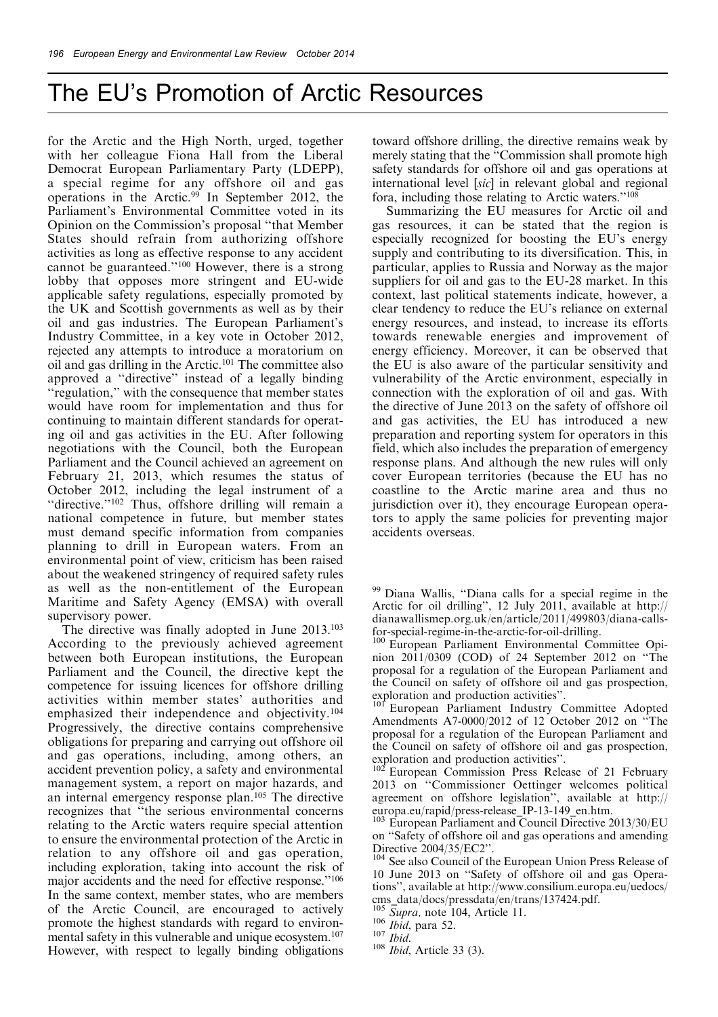for the Arctic and the High North, urged, together with her colleague Fiona Hall from the Liberal Democrat European Parliamentary Party (LDEPP), a special regime for any offshore oil and gas operations in the Arctic.99 In September 2012, the Parliament's Environmental Committee voted in its Opinion on the Commission's proposal ``that Member States should refrain from authorizing offshore activities as long as effective response to any accident cannot be guaranteed.''100 However, there is a strong lobby that opposes more stringent and EU-wide applicable safety regulations, especially promoted by the UK and Scottish governments as well as by their oil and gas industries. The European Parliament's Industry Committee, in a key vote in October 2012, rejected any attempts to introduce a moratorium on oil and gas drilling in the Arctic.101 The committee also approved a "directive" instead of a legally binding ``regulation,'' with the consequence that member states would have room for implementation and thus for continuing to maintain different standards for operating oil and gas activities in the EU. After following negotiations with the Council, both the European Parliament and the Council achieved an agreement on February 21, 2013, which resumes the status of October 2012, including the legal instrument of a "directive."<sup>102</sup> Thus, offshore drilling will remain a national competence in future, but member states must demand specific information from companies planning to drill in European waters. From an environmental point of view, criticism has been raised about the weakened stringency of required safety rules as well as the non-entitlement of the European Maritime and Safety Agency (EMSA) with overall supervisory power.

The directive was finally adopted in June 2013.<sup>103</sup> According to the previously achieved agreement between both European institutions, the European Parliament and the Council, the directive kept the competence for issuing licences for offshore drilling activities within member states' authorities and emphasized their independence and objectivity.104 Progressively, the directive contains comprehensive obligations for preparing and carrying out offshore oil and gas operations, including, among others, an accident prevention policy, a safety and environmental management system, a report on major hazards, and an internal emergency response plan.105 The directive recognizes that "the serious environmental concerns relating to the Arctic waters require special attention to ensure the environmental protection of the Arctic in relation to any offshore oil and gas operation, including exploration, taking into account the risk of major accidents and the need for effective response.'' 106 In the same context, member states, who are members of the Arctic Council, are encouraged to actively promote the highest standards with regard to environmental safety in this vulnerable and unique ecosystem. 107 However, with respect to legally binding obligations

toward offshore drilling, the directive remains weak by merely stating that the "Commission shall promote high safety standards for offshore oil and gas operations at international level [sic] in relevant global and regional fora, including those relating to Arctic waters.'' 108

Summarizing the EU measures for Arctic oil and gas resources, it can be stated that the region is especially recognized for boosting the EU's energy supply and contributing to its diversification. This, in particular, applies to Russia and Norway as the major suppliers for oil and gas to the EU-28 market. In this context, last political statements indicate, however, a clear tendency to reduce the EU's reliance on external energy resources, and instead, to increase its efforts towards renewable energies and improvement of energy efficiency. Moreover, it can be observed that the EU is also aware of the particular sensitivity and vulnerability of the Arctic environment, especially in connection with the exploration of oil and gas. With the directive of June 2013 on the safety of offshore oil and gas activities, the EU has introduced a new preparation and reporting system for operators in this field, which also includes the preparation of emergency response plans. And although the new rules will only cover European territories (because the EU has no coastline to the Arctic marine area and thus no jurisdiction over it), they encourage European operators to apply the same policies for preventing major accidents overseas.

<sup>99</sup> Diana Wallis, "Diana calls for a special regime in the Arctic for oil drilling'', 12 July 2011, available at http:// dianawallismep.org.uk/en/article/2011/499803/diana-callsfor-special-regime-in-the-arctic-for-oil-drilling.<br><sup>100</sup> European Parliament Environmental Committee Opi-

nion  $2011/0309$  (COD) of 24 September 2012 on "The proposal for a regulation of the European Parliament and the Council on safety of offshore oil and gas prospection,

<sup>101</sup> European Parliament Industry Committee Adopted Amendments A7-0000/2012 of 12 October 2012 on "The proposal for a regulation of the European Parliament and the Council on safety of offshore oil and gas prospection, exploration and production activities".

European Commission Press Release of 21 February 2013 on "Commissioner Oettinger welcomes political agreement on offshore legislation'', available at http://

 $^{103}$  European Parliament and Council Directive 2013/30/EU on "Safety of offshore oil and gas operations and amending Directive 2004/35/EC2".

<sup>104</sup> See also Council of the European Union Press Release of 10 June 2013 on "Safety of offshore oil and gas Operations'', available at http://www.consilium.europa.eu/uedocs/ cms\_data/docs/pressdata/en/trans/137424.pdf.  $\frac{105}{Supra}$ , note 104, Article 11.

 $\frac{106}{107}$  *Ibid*, para 52.

 $108$  *Ibid*, Article 33 (3).